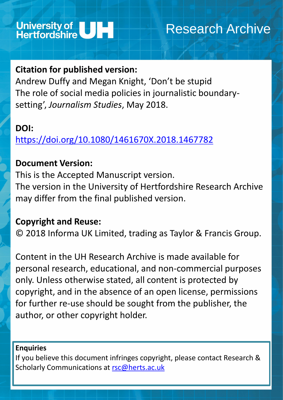

# Research Archive

## **Citation for published version:**

Andrew Duffy and Megan Knight, 'Don't be stupid The role of social media policies in journalistic boundarysetting', *Journalism Studies*, May 2018.

### **DOI:**

<https://doi.org/10.1080/1461670X.2018.1467782>

### **Document Version:**

This is the Accepted Manuscript version. The version in the University of Hertfordshire Research Archive may differ from the final published version.

If you believe this document infringes copyright, please contact Research & Scholarly Communications at [rsc@herts.ac.uk](mailto:rsc@herts.ac.uk)

### **Copyright and Reuse:**

© 2018 Informa UK Limited, trading as Taylor & Francis Group.

Content in the UH Research Archive is made available for personal research, educational, and non-commercial purposes only. Unless otherwise stated, all content is protected by copyright, and in the absence of an open license, permissions

# for further re-use should be sought from the publisher, the author, or other copyright holder.

### **Enquiries**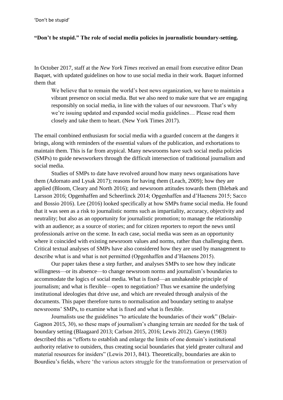'Don't be stupid'

#### **"Don't be stupid." The role of social media policies in journalistic boundary-setting.**

In October 2017, staff at the *New York Times* received an email from executive editor Dean Baquet, with updated guidelines on how to use social media in their work. Baquet informed them that

We believe that to remain the world's best news organization, we have to maintain a vibrant presence on social media. But we also need to make sure that we are engaging responsibly on social media, in line with the values of our newsroom. That's why we're issuing updated and expanded social media guidelines… Please read them closely and take them to heart. (New York Times 2017).

The email combined enthusiasm for social media with a guarded concern at the dangers it brings, along with reminders of the essential values of the publication, and exhortations to maintain them. This is far from atypical. Many newsrooms have such social media policies (SMPs) to guide newsworkers through the difficult intersection of traditional journalism and social media.

Studies of SMPs to date have revolved around how many news organisations have them (Adornato and Lysak 2017); reasons for having them (Leach, 2009); how they are applied (Bloom, Cleary and North 2016); and newsroom attitudes towards them (Ihlebæk and Larsson 2016; Opgenhaffen and Scheerlinck 2014; Opgenhaffen and d'Haenens 2015; Sacco and Bossio 2016). Lee (2016) looked specifically at how SMPs frame social media. He found that it was seen as a risk to journalistic norms such as impartiality, accuracy, objectivity and neutrality; but also as an opportunity for journalistic promotion; to manage the relationship with an audience; as a source of stories; and for citizen reporters to report the news until professionals arrive on the scene. In each case, social media was seen as an opportunity where it coincided with existing newsroom values and norms, rather than challenging them. Critical textual analyses of SMPs have also considered how they are used by management to describe what is and what is not permitted (Opgenhaffen and d'Haenens 2015).

Our paper takes these a step further, and analyses SMPs to see how they indicate willingness—or its absence—to change newsroom norms and journalism's boundaries to accommodate the logics of social media. What is fixed—an unshakeable principle of journalism; and what is flexible—open to negotiation? Thus we examine the underlying institutional ideologies that drive use, and which are revealed through analysis of the documents. This paper therefore turns to normalisation and boundary setting to analyse newsrooms' SMPs, to examine what is fixed and what is flexible.

Journalists use the guidelines "to articulate the boundaries of their work" (Belair-Gagnon 2015, 30), so these maps of journalism's changing terrain are needed for the task of boundary setting (Blaagaard 2013; Carlson 2015, 2016; Lewis 2012). Gieryn (1983) described this as "efforts to establish and enlarge the limits of one domain's institutional authority relative to outsiders, thus creating social boundaries that yield greater cultural and material resources for insiders" (Lewis 2013, 841). Theoretically, boundaries are akin to Bourdieu's fields, where 'the various actors struggle for the transformation or preservation of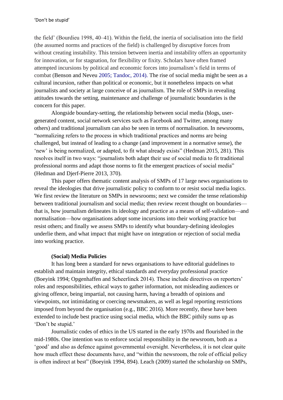the field' (Bourdieu 1998, 40–41). Within the field, the inertia of socialisation into the field (the assumed norms and practices of the field) is challenged by disruptive forces from without creating instability. This tension between inertia and instability offers an opportunity for innovation, or for stagnation, for flexibility or fixity. Scholars have often framed attempted incursions by political and economic forces into journalism's field in terms of combat (Benson and Neveu 2005; Tandoc, 2014). The rise of social media might be seen as a cultural incursion, rather than political or economic, but it nonetheless impacts on what journalists and society at large conceive of as journalism. The role of SMPs in revealing attitudes towards the setting, maintenance and challenge of journalistic boundaries is the concern for this paper.

Alongside boundary-setting, the relationship between social media (blogs, usergenerated content, social network services such as Facebook and Twitter, among many others) and traditional journalism can also be seen in terms of normalisation. In newsrooms, "normalizing refers to the process in which traditional practices and norms are being challenged, but instead of leading to a change (and improvement in a normative sense), the 'new' is being normalized, or adapted, to fit what already exists" (Hedman 2015, 281). This resolves itself in two ways: "journalists both adapt their use of social media to fit traditional professional norms and adapt those norms to fit the emergent practices of social media" (Hedman and Djerf-Pierre 2013, 370).

This paper offers thematic content analysis of SMPs of 17 large news organisations to reveal the ideologies that drive journalistic policy to conform to or resist social media logics. We first review the literature on SMPs in newsrooms; next we consider the tense relationship between traditional journalism and social media; then review recent thought on boundaries that is, how journalism delineates its ideology and practice as a means of self-validation—and normalisation—how organisations adopt some incursions into their working practice but resist others; and finally we assess SMPs to identify what boundary-defining ideologies underlie them, and what impact that might have on integration or rejection of social media into working practice.

#### **(Social) Media Policies**

It has long been a standard for news organisations to have editorial guidelines to establish and maintain integrity, ethical standards and everyday professional practice (Boeyink 1994; Opgenhaffen and Scheerlinck 2014). These include directives on reporters' roles and responsibilities, ethical ways to gather information, not misleading audiences or giving offence, being impartial, not causing harm, having a breadth of opinions and viewpoints, not intimidating or coercing newsmakers, as well as legal reporting restrictions imposed from beyond the organisation (e.g., BBC 2016). More recently, these have been extended to include best practice using social media, which the BBC pithily sums up as 'Don't be stupid.'

Journalistic codes of ethics in the US started in the early 1970s and flourished in the mid-1980s. One intention was to enforce social responsibility in the newsroom, both as a 'good' and also as defence against governmental oversight. Nevertheless, it is not clear quite how much effect these documents have, and "within the newsroom, the role of official policy is often indirect at best" (Boeyink 1994, 894). Leach (2009) started the scholarship on SMPs,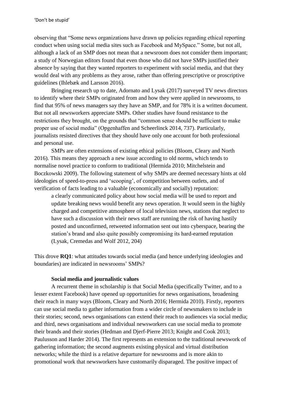observing that "Some news organizations have drawn up policies regarding ethical reporting conduct when using social media sites such as Facebook and MySpace." Some, but not all, although a lack of an SMP does not mean that a newsroom does not consider them important; a study of Norwegian editors found that even those who did not have SMPs justified their absence by saying that they wanted reporters to experiment with social media, and that they would deal with any problems as they arose, rather than offering prescriptive or proscriptive guidelines (Ihlebæk and Larsson 2016).

Bringing research up to date, Adornato and Lysak (2017) surveyed TV news directors to identify where their SMPs originated from and how they were applied in newsrooms, to find that 95% of news managers say they have an SMP, and for 78% it is a written document. But not all newsworkers appreciate SMPs. Other studies have found resistance to the restrictions they brought, on the grounds that "common sense should be sufficient to make proper use of social media" (Opgenhaffen and Scheerlinck 2014, 737). Particularly, journalists resisted directives that they should have only one account for both professional and personal use.

SMPs are often extensions of existing ethical policies (Bloom, Cleary and North 2016). This means they approach a new issue according to old norms, which tends to normalise novel practice to conform to traditional (Hermida 2010; Mitchelstein and Boczkowski 2009). The following statement of why SMPs are deemed necessary hints at old ideologies of speed-to-press and 'scooping', of competition between outlets, and of verification of facts leading to a valuable (economically and socially) reputation:

a clearly communicated policy about how social media will be used to report and update breaking news would benefit any news operation. It would seem in the highly charged and competitive atmosphere of local television news, stations that neglect to have such a discussion with their news staff are running the risk of having hastily posted and unconfirmed, retweeted information sent out into cyberspace, bearing the station's brand and also quite possibly compromising its hard-earned reputation (Lysak, Cremedas and Wolf 2012, 204)

This drove **RQ1**: what attitudes towards social media (and hence underlying ideologies and boundaries) are indicated in newsrooms' SMPs?

#### **Social media and journalistic values**

A recurrent theme in scholarship is that Social Media (specifically Twitter, and to a lesser extent Facebook) have opened up opportunities for news organisations, broadening their reach in many ways (Bloom, Cleary and North 2016; Hermida 2010). Firstly, reporters can use social media to gather information from a wider circle of newsmakers to include in their stories; second, news organisations can extend their reach to audiences via social media; and third, news organisations and individual newsworkers can use social media to promote their brands and their stories (Hedman and Djerf-Pierre 2013; Knight and Cook 2013; Paulusson and Harder 2014). The first represents an extension to the traditional newswork of gathering information; the second augments existing physical and virtual distribution networks; while the third is a relative departure for newsrooms and is more akin to promotional work that newsworkers have customarily disparaged. The positive impact of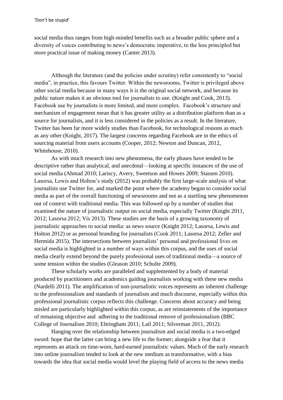social media thus ranges from high-minded benefits such as a broader public sphere and a diversity of voices contributing to news's democratic imperative, to the less principled but more practical issue of making money (Canter 2013).

Although the literature (and the policies under scrutiny) refer consistently to "social media", in practice, this favours Twitter. Within the newsrooms, Twitter is privileged above other social media because in many ways it is the original social network, and because its public nature makes it an obvious tool for journalists to use. (Knight and Cook, 2013). Facebook use by journalists is more limited, and more complex. Facebook's structure and mechanism of engagement mean that it has greater utility as a distribution platform than as a source for journalists, and it is less considered in the policies as a result. In the literature, Twitter has been far more widely studies than Facebook, for technological reasons as much as any other (Knight, 2017). The largest concerns regarding Facebook are in the ethics of sourcing material from users accounts (Cooper, 2012; Newton and Duncan, 2012, Whitehouse, 2010).

As with much research into new phenomena, the early phases have tended to be descriptive rather than analytical, and anecdotal—looking at specific instances of the use of social media (Ahmad 2010; Lariscy, Avery, Sweetson and Howes 2009; Stassen 2010). Lasorsa, Lewis and Holton's study (2012) was probably the first large-scale analysis of what journalists use Twitter for, and marked the point where the academy began to consider social media as part of the overall functioning of newsrooms and not as a startling new phenomenon out of context with traditional media. This was followed up by a number of studies that examined the nature of journalistic output on social media, especially Twitter (Knight 2011, 2012; Lasorsa 2012; Vis 2013). These studies are the basis of a growing taxonomy of journalistic approaches to social media: as news source (Knight 2012; Lasorsa, Lewis and Holton 2012) or as personal branding for journalists (Cook 2011; Lasorsa 2012; Zeller and Hermida 2015). The intersections between journalists' personal and professional lives on social media is highlighted in a number of ways within this corpus, and the uses of social media clearly extend beyond the purely professional uses of traditional media—a source of some tension within the studies (Gleason 2010; Schulte 2009).

These scholarly works are paralleled and supplemented by a body of material produced by practitioners and academics guiding journalists working with these new media (Nardelli 2011). The amplification of non-journalistic voices represents an inherent challenge to the professionalism and standards of journalism and much discourse, especially within this professional journalistic corpus reflects this challenge. Concerns about accuracy and being misled are particularly highlighted within this corpus, as are reinstatements of the importance of remaining objective and adhering to the traditional remove of professionalism (BBC College of Journalism 2010; Eltringham 2011; Lail 2011; Silverman 2011, 2012).

Hanging over the relationship between journalism and social media is a two-edged sword: hope that the latter can bring a new life to the former; alongside a fear that it represents an attack on time-worn, hard-earned journalistic values. Much of the early research into online journalism tended to look at the new medium as transformative, with a bias towards the idea that social media would level the playing field of access to the news media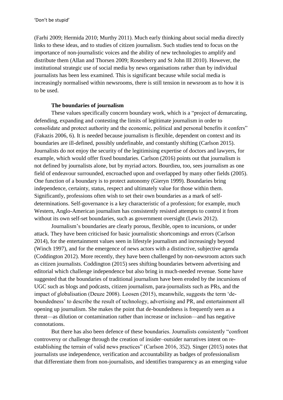(Farhi 2009; Hermida 2010; Murthy 2011). Much early thinking about social media directly links to these ideas, and to studies of citizen journalism. Such studies tend to focus on the importance of non-journalistic voices and the ability of new technologies to amplify and distribute them (Allan and Thorsen 2009; Rosenberry and St John III 2010). However, the institutional strategic use of social media by news organisations rather than by individual journalists has been less examined. This is significant because while social media is increasingly normalised within newsrooms, there is still tension in newsroom as to how it is to be used.

#### **The boundaries of journalism**

These values specifically concern boundary work, which is a "project of demarcating, defending, expanding and contesting the limits of legitimate journalism in order to consolidate and protect authority and the economic, political and personal benefits it confers" (Fakazis 2006, 6). It is needed because journalism is flexible, dependent on context and its boundaries are ill-defined, possibly undefinable, and constantly shifting (Carlson 2015). Journalists do not enjoy the security of the legitimising expertise of doctors and lawyers, for example, which would offer fixed boundaries. Carlson (2016) points out that journalism is not defined by journalists alone, but by myriad actors. Bourdieu, too, sees journalism as one field of endeavour surrounded, encroached upon and overlapped by many other fields (2005). One function of a boundary is to protect autonomy (Gieryn 1999). Boundaries bring independence, certainty, status, respect and ultimately value for those within them. Significantly, professions often wish to set their own boundaries as a mark of selfdeterminations. Self-governance is a key characteristic of a profession; for example, much Western, Anglo-American journalism has consistently resisted attempts to control it from without its own self-set boundaries, such as government oversight (Lewis 2012).

Journalism's boundaries are clearly porous, flexible, open to incursions, or under attack. They have been criticised for basic journalistic shortcomings and errors (Carlson 2014), for the entertainment values seen in lifestyle journalism and increasingly beyond (Winch 1997), and for the emergence of news actors with a distinctive, subjective agenda (Coddington 2012). More recently, they have been challenged by non-newsroom actors such as citizen journalists. Coddington (2015) sees shifting boundaries between advertising and editorial which challenge independence but also bring in much-needed revenue. Some have suggested that the boundaries of traditional journalism have been eroded by the incursions of UGC such as blogs and podcasts, citizen journalism, para-journalists such as PRs, and the impact of globalisation (Deuze 2008). Loosen (2015), meanwhile, suggests the term 'deboundedness' to describe the result of technology, advertising and PR, and entertainment all opening up journalism. She makes the point that de-boundedness is frequently seen as a threat—as dilution or contamination rather than increase or inclusion—and has negative connotations.

But there has also been defence of these boundaries. Journalists consistently "confront controversy or challenge through the creation of insider–outsider narratives intent on reestablishing the terrain of valid news practices" (Carlson 2016, 352). Singer (2015) notes that journalists use independence, verification and accountability as badges of professionalism that differentiate them from non-journalists, and identifies transparency as an emerging value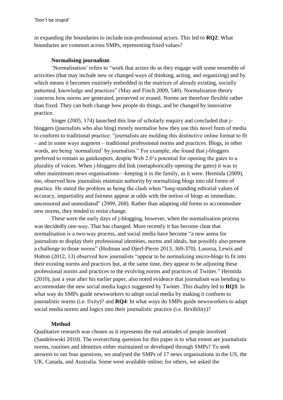in expanding the boundaries to include non-professional actors. This led to **RQ2**: What boundaries are common across SMPs, representing fixed values?

#### **Normalising journalism**

'Normalisation' refers to "work that actors do as they engage with some ensemble of activities (that may include new or changed ways of thinking, acting, and organizing) and by which means it becomes routinely embedded in the matrices of already existing, socially patterned, knowledge and practices" (May and Finch 2009, 540). Normalisation theory concerns how norms are generated, preserved or erased. Norms are therefore flexible rather than fixed. They can both change how people do things, and be changed by innovative practice.

Singer (2005, 174) launched this line of scholarly enquiry and concluded that jbloggers (journalists who also blog) mostly normalise how they use this novel form of media to conform to traditional practice: "journalists are molding this distinctive online format to fit – and in some ways augment – traditional professional norms and practices. Blogs, in other words, are being 'normalized' by journalists." For example, she found that j-bloggers preferred to remain as gatekeepers, despite Web 2.0's potential for opening the gates to a plurality of voices. When j-bloggers did link (metaphorically opening the gates) it was to other mainstream news organisations—keeping it in the family, as it were. Hermida (2009), too, observed how journalists maintain authority by normalising blogs into old forms of practice. He stated the problem as being the clash when "long-standing editorial values of accuracy, impartiality and fairness appear at odds with the notion of blogs as immediate, uncensored and unmediated" (2009, 268). Rather than adapting old forms to accommodate new norms, they tended to resist change.

These were the early days of j-blogging, however, when the normalisation process was decidedly one-way. That has changed. More recently it has become clear that normalisation is a two-way process, and social media have become "a new arena for journalists to display their professional identities, norms and ideals, but possibly also present a challenge to those norms" (Hedman and Djerf-Pierre 2013, 369-370). Lasorsa, Lewis and Holton (2012, 13) observed how journalists "appear to be normalizing micro-blogs to fit into their existing norms and practices but, at the same time, they appear to be adjusting these professional norms and practices to the evolving norms and practices of Twitter." Hermida (2010), just a year after his earlier paper, also noted evidence that journalism was bending to accommodate the new social media logics suggested by Twitter. This duality led to **RQ3**: In what way do SMPs guide newsworkers to adopt social media by making it conform to journalistic norms (i.e. fixity)? and **RQ4**: In what ways do SMPs guide newsworkers to adapt social media norms and logics into their journalistic practice (i.e. flexibility)?

#### **Method**

Qualitative research was chosen as it represents the real attitudes of people involved (Sandelowski 2010). The overarching question for this paper is to what extent are journalistic norms, routines and identities either maintained or developed through SMPs? To seek answers to our four questions, we analysed the SMPs of 17 news organisations in the US, the UK, Canada, and Australia. Some were available online; for others, we asked the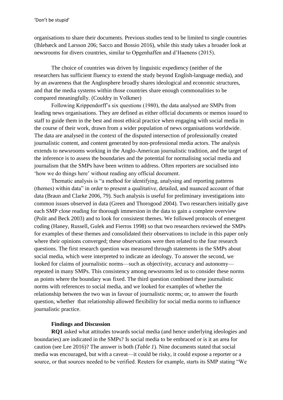organisations to share their documents. Previous studies tend to be limited to single countries (Ihlebæck and Larsson 206; Sacco and Bossio 2016), while this study takes a broader look at newsrooms for divers countries, similar to Opgenhaffen and d'Haenens (2015).

The choice of countries was driven by linguistic expediency (neither of the researchers has sufficient fluency to extend the study beyond English-language media), and by an awareness that the Anglosphere broadly shares ideological and economic structures, and that the media systems within those countries share enough commonalities to be compared meaningfully. (Couldry in Volkmer)

Following Krippendorff's six questions (1980), the data analysed are SMPs from leading news organisations. They are defined as either official documents or memos issued to staff to guide them in the best and most ethical practice when engaging with social media in the course of their work, drawn from a wider population of news organisations worldwide. The data are analysed in the context of the disputed intersection of professionally created journalistic content, and content generated by non-professional media actors. The analysis extends to newsrooms working in the Anglo-American journalistic tradition, and the target of the inference is to assess the boundaries and the potential for normalising social media and journalism that the SMPs have been written to address. Often reporters are socialised into 'how we do things here' without reading any official document.

Thematic analysis is "a method for identifying, analysing and reporting patterns (themes) within data" in order to present a qualitative, detailed, and nuanced account of that data (Braun and Clarke 2006, 79). Such analysis is useful for preliminary investigations into common issues observed in data (Green and Thorogood 2004). Two researchers initially gave each SMP close reading for thorough immersion in the data to gain a complete overview (Polit and Beck 2003) and to look for consistent themes. We followed protocols of emergent coding (Haney, Russell, Gulek and Fierros 1998) so that two researchers reviewed the SMPs for examples of these themes and consolidated their observations to include in this paper only where their opinions converged; these observations were then related to the four research questions. The first research question was measured through statements in the SMPs about social media, which were interpreted to indicate an ideology. To answer the second, we looked for claims of journalistic norms—such as objectivity, accuracy and autonomy repeated in many SMPs. This consistency among newsrooms led us to consider these norms as points where the boundary was fixed. The third question combined these journalistic norms with references to social media, and we looked for examples of whether the relationship between the two was in favour of journalistic norms; or, to answer the fourth question, whether that relationship allowed flexibility for social media norms to influence journalistic practice.

#### **Findings and Discussion**

**RQ1** asked what attitudes towards social media (and hence underlying ideologies and boundaries) are indicated in the SMPs? Is social media to be embraced or is it an area for caution (see Lee 2016)? The answer is both (*Table 1*). Nine documents stated that social media was encouraged, but with a caveat—it could be risky, it could expose a reporter or a source, or that sources needed to be verified. Reuters for example, starts its SMP stating "We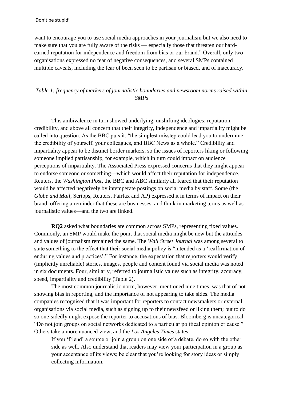want to encourage you to use social media approaches in your journalism but we also need to make sure that you are fully aware of the risks — especially those that threaten our hardearned reputation for independence and freedom from bias or our brand." Overall, only two organisations expressed no fear of negative consequences, and several SMPs contained multiple caveats, including the fear of been seen to be partisan or biased, and of inaccuracy.

#### *Table 1: frequency of markers of journalistic boundaries and newsroom norms raised within SMPs*

This ambivalence in turn showed underlying, unshifting ideologies: reputation, credibility, and above all concern that their integrity, independence and impartiality might be called into question. As the BBC puts it, "the simplest misstep could lead you to undermine the credibility of yourself, your colleagues, and BBC News as a whole." Credibility and impartiality appear to be distinct border markers, so the issues of reporters liking or following someone implied partisanship, for example, which in turn could impact on audience perceptions of impartiality. The Associated Press expressed concerns that they might appear to endorse someone or something—which would affect their reputation for independence. Reuters, the *Washington Post*, the BBC and ABC similarly all feared that their reputation would be affected negatively by intemperate postings on social media by staff. Some (the *Globe and Mail*, Scripps, Reuters, Fairfax and AP) expressed it in terms of impact on their brand, offering a reminder that these are businesses, and think in marketing terms as well as journalistic values—and the two are linked.

**RQ2** asked what boundaries are common across SMPs, representing fixed values. Commonly, an SMP would make the point that social media might be new but the attitudes and values of journalism remained the same. The *Wall Street Journal* was among several to state something to the effect that their social media policy is "intended as a 'reaffirmation of enduring values and practices'." For instance, the expectation that reporters would verify (implicitly unreliable) stories, images, people and content found via social media was noted in six documents. Four, similarly, referred to journalistic values such as integrity, accuracy, speed, impartiality and credibility (Table 2).

The most common journalistic norm, however, mentioned nine times, was that of not showing bias in reporting, and the importance of not appearing to take sides. The media companies recognised that it was important for reporters to contact newsmakers or external organisations via social media, such as signing up to their newsfeed or liking them; but to do so one-sidedly might expose the reporter to accusations of bias. Bloomberg is uncategorical: "Do not join groups on social networks dedicated to a particular political opinion or cause." Others take a more nuanced view, and the *Los Angeles Times* states:

If you 'friend' a source or join a group on one side of a debate, do so with the other side as well. Also understand that readers may view your participation in a group as your acceptance of its views; be clear that you're looking for story ideas or simply collecting information.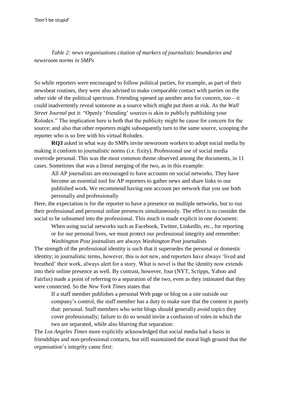*Table 2: news organisations citation of markers of journalistic boundaries and newsroom norms in SMPs*

So while reporters were encouraged to follow political parties, for example, as part of their newsbeat routines, they were also advised to make comparable contact with parties on the other side of the political spectrum. Friending opened up another area for concern, too—it could inadvertently reveal someone as a source which might put them at risk. As the *Wall Street Journal* put it: "Openly 'friending' sources is akin to publicly publishing your Rolodex." The implication here is both that the publicity might be cause for concern for the source; and also that other reporters might subsequently turn to the same source, scooping the reporter who is so free with his virtual Rolodex.

**RQ3** asked in what way do SMPs invite newsroom workers to adopt social media by making it conform to journalistic norms (i.e. fixity). Professional use of social media overrode personal. This was the most common theme observed among the documents, in 11 cases. Sometimes that was a literal merging of the two, as in this example:

All AP journalists are encouraged to have accounts on social networks. They have become an essential tool for AP reporters to gather news and share links to our published work. We recommend having one account per network that you use both personally and professionally

Here, the expectation is for the reporter to have a presence on multiple networks, but to run their professional and personal online presences simultaneously. The effect is to consider the social to be subsumed into the professional. This much is made explicit in one document:

When using social networks such as Facebook, Twitter, LinkedIn, etc., for reporting or for our personal lives, we must protect our professional integrity and remember: *Washington Post* journalists are always *Washington Post* journalists

The strength of the professional identity is such that it supersedes the personal or domestic identity; in journalistic terms, however, this is not new, and reporters have always 'lived and breathed' their work, always alert for a story. What is novel is that the identity now extends into their online presence as well. By contrast, however, four (NYT, Scripps, Yahoo and Fairfax) made a point of referring to a separation of the two, even as they intimated that they were connected. So the *New York Times* states that

If a staff member publishes a personal Web page or blog on a site outside our company's control, the staff member has a duty to make sure that the content is purely that: personal. Staff members who write blogs should generally avoid topics they cover professionally; failure to do so would invite a confusion of roles in which the two are separated, while also blurring that separation:

The *Los Angeles Times* more explicitly acknowledged that social media had a basis in friendships and non-professional contacts, but still maintained the moral high ground that the organisation's integrity came first: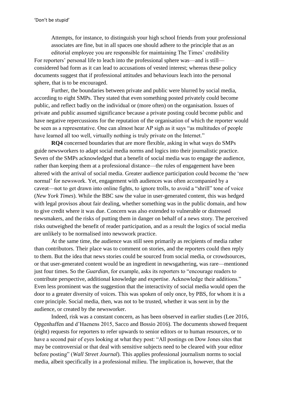Attempts, for instance, to distinguish your high school friends from your professional associates are fine, but in all spaces one should adhere to the principle that as an editorial employee you are responsible for maintaining The Times' credibility For reporters' personal life to leach into the professional sphere was—and is still considered bad form as it can lead to accusations of vested interest; whereas these policy

documents suggest that if professional attitudes and behaviours leach into the personal sphere, that is to be encouraged.

Further, the boundaries between private and public were blurred by social media, according to eight SMPs. They stated that even something posted privately could become public, and reflect badly on the individual or (more often) on the organisation. Issues of private and public assumed significance because a private posting could become public and have negative repercussions for the reputation of the organisation of which the reporter would be seen as a representative. One can almost hear AP sigh as it says "as multitudes of people have learned all too well, virtually nothing is truly private on the Internet."

**RQ4** concerned boundaries that are more flexible, asking in what ways do SMPs guide newsworkers to adapt social media norms and logics into their journalistic practice. Seven of the SMPs acknowledged that a benefit of social media was to engage the audience, rather than keeping them at a professional distance—the rules of engagement have been altered with the arrival of social media. Greater audience participation could become the 'new normal' for newswork. Yet, engagement with audiences was often accompanied by a caveat—not to get drawn into online fights, to ignore trolls, to avoid a "shrill" tone of voice (*New York Times*). While the BBC saw the value in user-generated content, this was hedged with legal provisos about fair dealing, whether something was in the public domain, and how to give credit where it was due. Concern was also extended to vulnerable or distressed newsmakers, and the risks of putting them in danger on behalf of a news story. The perceived risks outweighed the benefit of reader participation, and as a result the logics of social media are unlikely to be normalised into newswork practice.

At the same time, the audience was still seen primarily as recipients of media rather than contributors. Their place was to comment on stories, and the reporters could then reply to them. But the idea that news stories could be sourced from social media, or crowdsources, or that user-generated content would be an ingredient in newsgathering, was rare—mentioned just four times. So the *Guardian*, for example, asks its reporters to "encourage readers to contribute perspective, additional knowledge and expertise. Acknowledge their additions." Even less prominent was the suggestion that the interactivity of social media would open the door to a greater diversity of voices. This was spoken of only once, by PBS, for whom it is a core principle. Social media, then, was not to be trusted, whether it was sent in by the audience, or created by the newsworker.

Indeed, risk was a constant concern, as has been observed in earlier studies (Lee 2016, Opgenhaffen and d'Haenens 2015, Sacco and Bossio 2016). The documents showed frequent (eight) requests for reporters to refer upwards to senior editors or to human resources, or to have a second pair of eyes looking at what they post: "All postings on Dow Jones sites that may be controversial or that deal with sensitive subjects need to be cleared with your editor before posting" (*Wall Street Journal*). This applies professional journalism norms to social media, albeit specifically in a professional milieu. The implication is, however, that the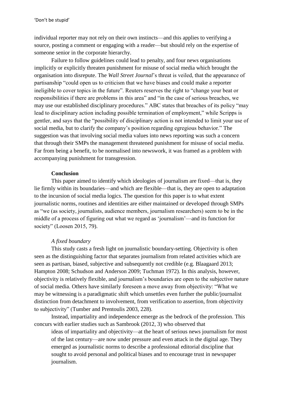individual reporter may not rely on their own instincts—and this applies to verifying a source, posting a comment or engaging with a reader—but should rely on the expertise of someone senior in the corporate hierarchy.

Failure to follow guidelines could lead to penalty, and four news organisations implicitly or explicitly threaten punishment for misuse of social media which brought the organisation into disrepute. The *Wall Street Journal*'s threat is veiled, that the appearance of partisanship "could open us to criticism that we have biases and could make a reporter ineligible to cover topics in the future". Reuters reserves the right to "change your beat or responsibilities if there are problems in this area" and "in the case of serious breaches, we may use our established disciplinary procedures." ABC states that breaches of its policy "may lead to disciplinary action including possible termination of employment," while Scripps is gentler, and says that the "possibility of disciplinary action is not intended to limit your use of social media, but to clarify the company's position regarding egregious behavior." The suggestion was that involving social media values into news reporting was such a concern that through their SMPs the management threatened punishment for misuse of social media. Far from being a benefit, to be normalised into newswork, it was framed as a problem with accompanying punishment for transgression.

#### **Conclusion**

This paper aimed to identify which ideologies of journalism are fixed—that is, they lie firmly within its boundaries—and which are flexible—that is, they are open to adaptation to the incursion of social media logics. The question for this paper is to what extent journalistic norms, routines and identities are either maintained or developed through SMPs as "we (as society, journalists, audience members, journalism researchers) seem to be in the middle of a process of figuring out what we regard as 'journalism'—and its function for society" (Loosen 2015, 79).

#### *A fixed boundary*

This study casts a fresh light on journalistic boundary-setting. Objectivity is often seen as the distinguishing factor that separates journalism from related activities which are seen as partisan, biased, subjective and subsequently not credible (e.g. Blaagaard 2013; Hampton 2008; Schudson and Anderson 2009; Tuchman 1972). In this analysis, however, objectivity is relatively flexible, and journalism's boundaries are open to the subjective nature of social media. Others have similarly foreseen a move away from objectivity: "What we may be witnessing is a paradigmatic shift which unsettles even further the public/journalist distinction from detachment to involvement, from verification to assertion, from objectivity to subjectivity" (Tumber and Prentoulis 2003, 228).

Instead, impartiality and independence emerge as the bedrock of the profession. This concurs with earlier studies such as Sambrook (2012, 3) who observed that

ideas of impartiality and objectivity—at the heart of serious news journalism for most of the last century—are now under pressure and even attack in the digital age. They emerged as journalistic norms to describe a professional editorial discipline that sought to avoid personal and political biases and to encourage trust in newspaper journalism.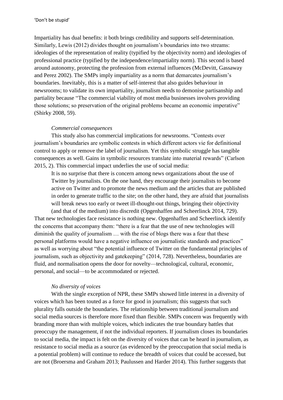Impartiality has dual benefits: it both brings credibility and supports self-determination. Similarly, Lewis (2012) divides thought on journalism's boundaries into two streams: ideologies of the representation of reality (typified by the objectivity norm) and ideologies of professional practice (typified by the independence/impartiality norm). This second is based around autonomy, protecting the profession from external influences (McDevitt, Gassaway and Perez 2002). The SMPs imply impartiality as a norm that demarcates journalism's boundaries. Inevitably, this is a matter of self-interest that also guides behaviour in newsrooms; to validate its own impartiality, journalism needs to demonise partisanship and partiality because "The commercial viability of most media businesses involves providing those solutions; so preservation of the original problems became an economic imperative" (Shirky 2008, 59).

#### *Commercial consequences*

This study also has commercial implications for newsrooms. "Contests over journalism's boundaries are symbolic contests in which different actors vie for definitional control to apply or remove the label of journalism. Yet this symbolic struggle has tangible consequences as well. Gains in symbolic resources translate into material rewards" (Carlson 2015, 2). This commercial impact underlies the use of social media:

It is no surprise that there is concern among news organizations about the use of Twitter by journalists. On the one hand, they encourage their journalists to become active on Twitter and to promote the news medium and the articles that are published in order to generate traffic to the site; on the other hand, they are afraid that journalists will break news too early or tweet ill-thought-out things, bringing their objectivity (and that of the medium) into discredit (Opgenhaffen and Scheerlinck 2014, 729).

That new technologies face resistance is nothing new. Opgenhaffen and Scheerlinck identify the concerns that accompany them: "there is a fear that the use of new technologies will diminish the quality of journalism … with the rise of blogs there was a fear that these personal platforms would have a negative influence on journalistic standards and practices" as well as worrying about "the potential influence of Twitter on the fundamental principles of journalism, such as objectivity and gatekeeping" (2014, 728). Nevertheless, boundaries are fluid, and normalisation opens the door for novelty—technological, cultural, economic, personal, and social—to be accommodated or rejected.

#### *No diversity of voices*

With the single exception of NPR, these SMPs showed little interest in a diversity of voices which has been touted as a force for good in journalism; this suggests that such plurality falls outside the boundaries. The relationship between traditional journalism and social media sources is therefore more fixed than flexible. SMPs concern was frequently with branding more than with multiple voices, which indicates the true boundary battles that preoccupy the management, if not the individual reporters. If journalism closes its boundaries to social media, the impact is felt on the diversity of voices that can be heard in journalism, as resistance to social media as a source (as evidenced by the preoccupation that social media is a potential problem) will continue to reduce the breadth of voices that could be accessed, but are not (Broersma and Graham 2013; Paulussen and Harder 2014). This further suggests that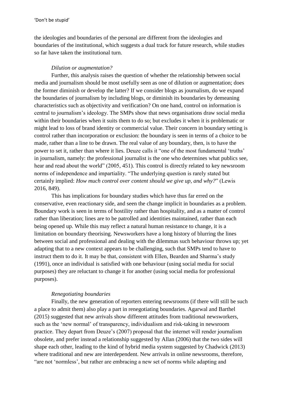the ideologies and boundaries of the personal are different from the ideologies and boundaries of the institutional, which suggests a dual track for future research, while studies so far have taken the institutional turn.

#### *Dilution or augmentation?*

Further, this analysis raises the question of whether the relationship between social media and journalism should be most usefully seen as one of dilution or augmentation; does the former diminish or develop the latter? If we consider blogs as journalism, do we expand the boundaries of journalism by including blogs, or diminish its boundaries by demeaning characteristics such as objectivity and verification? On one hand, control on information is central to journalism's ideology. The SMPs show that news organisations draw social media within their boundaries when it suits them to do so; but excludes it when it is problematic or might lead to loss of brand identity or commercial value. Their concern in boundary setting is control rather than incorporation or exclusion: the boundary is seen in terms of a choice to be made, rather than a line to be drawn. The real value of any boundary, then, is to have the power to set it, rather than where it lies. Deuze calls it "one of the most fundamental 'truths' in journalism, namely: the professional journalist is the one who determines what publics see, hear and read about the world" (2005, 451). This control is directly related to key newsroom norms of independence and impartiality. "The underlying question is rarely stated but certainly implied: *How much control over content should we give up, and why?*" (Lewis 2016, 849).

This has implications for boundary studies which have thus far erred on the conservative, even reactionary side, and seen the change implicit in boundaries as a problem. Boundary work is seen in terms of hostility rather than hospitality, and as a matter of control rather than liberation; lines are to be patrolled and identities maintained, rather than each being opened up. While this may reflect a natural human resistance to change, it is a limitation on boundary theorising. Newsworkers have a long history of blurring the lines between social and professional and dealing with the dilemmas such behaviour throws up; yet adapting that to a new context appears to be challenging, such that SMPs tend to have to instruct them to do it. It may be that, consistent with Ellen, Bearden and Sharma's study (1991), once an individual is satisfied with one behaviour (using social media for social purposes) they are reluctant to change it for another (using social media for professional purposes).

#### *Renegotiating boundaries*

Finally, the new generation of reporters entering newsrooms (if there will still be such a place to admit them) also play a part in renegotiating boundaries. Agarwal and Barthel (2015) suggested that new arrivals show different attitudes from traditional newsworkers, such as the 'new normal' of transparency, individualism and risk-taking in newsroom practice. They depart from Deuze's (2007) proposal that the internet will render journalism obsolete, and prefer instead a relationship suggested by Allan (2006) that the two sides will shape each other, leading to the kind of hybrid media system suggested by Chadwick (2013) where traditional and new are interdependent. New arrivals in online newsrooms, therefore, "are not 'normless', but rather are embracing a new set of norms while adapting and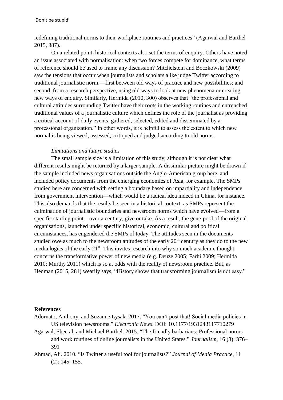redefining traditional norms to their workplace routines and practices" (Agarwal and Barthel 2015, 387).

On a related point, historical contexts also set the terms of enquiry. Others have noted an issue associated with normalisation: when two forces compete for dominance, what terms of reference should be used to frame any discussion? Mitchelstein and Boczkowski (2009) saw the tensions that occur when journalists and scholars alike judge Twitter according to traditional journalistic norm.—first between old ways of practice and new possibilities; and second, from a research perspective, using old ways to look at new phenomena or creating new ways of enquiry. Similarly, Hermida (2010, 300) observes that "the professional and cultural attitudes surrounding Twitter have their roots in the working routines and entrenched traditional values of a journalistic culture which defines the role of the journalist as providing a critical account of daily events, gathered, selected, edited and disseminated by a professional organization." In other words, it is helpful to assess the extent to which new normal is being viewed, assessed, critiqued and judged according to old norms.

#### *Limitations and future studies*

The small sample size is a limitation of this study; although it is not clear what different results might be returned by a larger sample. A dissimilar picture might be drawn if the sample included news organisations outside the Anglo-American group here, and included policy documents from the emerging economies of Asia, for example. The SMPs studied here are concerned with setting a boundary based on impartiality and independence from government intervention—which would be a radical idea indeed in China, for instance. This also demands that the results be seen in a historical context, as SMPs represent the culmination of journalistic boundaries and newsroom norms which have evolved—from a specific starting point—over a century, give or take. As a result, the gene-pool of the original organisations, launched under specific historical, economic, cultural and political circumstances, has engendered the SMPs of today. The attitudes seen in the documents studied owe as much to the newsroom attitudes of the early  $20<sup>th</sup>$  century as they do to the new media logics of the early  $21<sup>st</sup>$ . This invites research into why so much academic thought concerns the transformative power of new media (e.g. Deuze 2005; Farhi 2009; Hermida 2010; Murthy 2011) which is so at odds with the reality of newsroom practice. But, as Hedman (2015, 281) wearily says, "History shows that transforming journalism is not easy."

#### **References**

Adornato, Anthony, and Suzanne Lysak. 2017. "You can't post that! Social media policies in US television newsrooms." *Electronic News*. DOI: 10.1177/1931243117710279

- Agarwal, Sheetal, and Michael Barthel. 2015. "The friendly barbarians: Professional norms and work routines of online journalists in the United States." *Journalism*, 16 (3): 376– 391
- Ahmad, Ali. 2010. "Is Twitter a useful tool for journalists?" *Journal of Media Practice*, 11 (2): 145–155.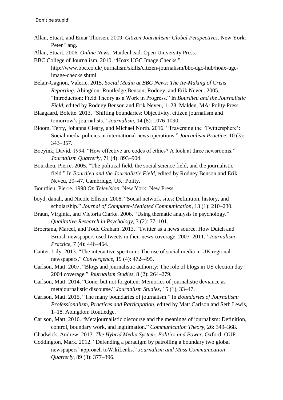Allan, Stuart, and Einar Thorsen. 2009. *Citizen Journalism: Global Perspectives*. New York: Peter Lang.

Allan, Stuart. 2006. *Online News*. Maidenhead: Open University Press.

BBC College of Journalism, 2010. "Hoax UGC Image Checks." http://www.bbc.co.uk/journalism/skills/citizen-journalism/bbc-ugc-hub/hoax-ugcimage-checks.shtml

Belair-Gagnon, Valerie. 2015. *Social Media at BBC News: The Re-Making of Crisis Reporting*. Abingdon: Routledge.Benson, Rodney, and Erik Neveu. 2005. "Introduction: Field Theory as a Work in Progress." In *Bourdieu and the Journalistic Field*, edited by Rodney Benson and Erik Neveu, 1–28. Malden, MA: Polity Press.

Blaagaard, Bolette. 2013. "Shifting boundaries: Objectivity, citizen journalism and tomorrow's journalists." *Journalism*, 14 (8): 1076-1090.

Bloom, Terry, Johanna Cleary, and Michael North. 2016. "Traversing the 'Twittersphere': Social media policies in international news operations." *Journalism Practice*, 10 (3): 343–357.

Boeyink, David. 1994. "How effective are codes of ethics? A look at three newsrooms." *Journalism Quarterly*, 71 (4): 893–904.

- Bourdieu, Pierre. 2005. "The political field, the social science field, and the journalistic field." In *Bourdieu and the Journalistic Field,* edited by Rodney Benson and Erik Neveu, 29–47. Cambridge, UK: Polity.
- Bourdieu, Pierre. 1998 *On Television*. New York: New Press.
- boyd, danah, and Nicole Ellison. 2008. "Social network sites: Definition, history, and scholarship." *Journal of Computer-Mediated Communication*, 13 (1): 210–230.
- Braun, Virginia, and Victoria Clarke. 2006. "Using thematic analysis in psychology." *Qualitative Research in Psychology*, 3 (2): 77–101.
- Broersma, Marcel, and Todd Graham. 2013. "Twitter as a news source. How Dutch and British newspapers used tweets in their news coverage, 2007–2011." *Journalism Practice*, 7 (4): 446–464.

Canter, Lily. 2013. "The interactive spectrum: The use of social media in UK regional newspapers." *Convergence*, 19 (4): 472–495.

Carlson, Matt. 2007. "Blogs and journalistic authority: The role of blogs in US election day 2004 coverage." *Journalism Studies*, 8 (2): 264–279.

Carlson, Matt. 2014. "Gone, but not forgotten: Memories of journalistic deviance as metajournalistic discourse." *Journalism Studies*, 15 (1), 33–47.

Carlson, Matt. 2015. "The many boundaries of journalism." In *Boundaries of Journalism: Professionalism, Practices and Participation*, edited by Matt Carlson and Seth Lewis, 1–18. Abingdon: Routledge.

Carlson, Matt. 2016. "Metajournalistic discourse and the meanings of journalism: Definition, control, boundary work, and legitimation." *Communication Theory*, 26: 349–368.

Chadwick, Andrew. 2013. *The Hybrid Media System: Politics and Power*. Oxford: OUP.

Coddington, Mark. 2012. "Defending a paradigm by patrolling a boundary two global newspapers' approach toWikiLeaks." *Journalism and Mass Communication Quarterly*, 89 (3): 377–396.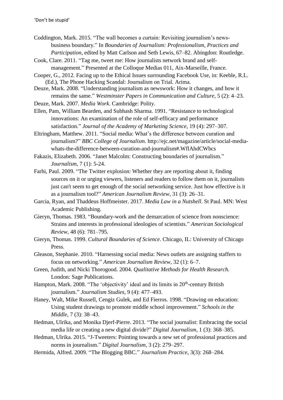- Coddington, Mark. 2015. "The wall becomes a curtain: Revisiting journalism's newsbusiness boundary." In *Boundaries of Journalism: Professionalism, Practices and Participation*, edited by Matt Carlson and Seth Lewis, 67–82. Abingdon: Routledge.
- Cook, Clare. 2011. "Tag me, tweet me: How journalists network brand and selfmanagement." Presented at the Colloque Medias 011, Aix-Marseille, France.
- Cooper, G., 2012. Facing up to the Ethical Issues surrounding Facebook Use, in: Keeble, R.L. (Ed.), The Phone Hacking Scandal: Journalism on Trial. Arima.
- Deuze, Mark. 2008. "Understanding journalism as newswork: How it changes, and how it remains the same." *Westminster Papers in Communication and Culture*, 5 (2): 4–23.
- Deuze, Mark. 2007. *Media Work*. Cambridge: Polity.
- Ellen, Pam, William Bearden, and Subhash Sharma. 1991. "Resistance to technological innovations: An examination of the role of self-efficacy and performance satisfaction." *Journal of the Academy of Marketing Science*, 19 (4): 297–307.
- Eltringham, Matthew. 2011. "Social media: What's the difference between curation and journalism?" *BBC College of Journalism.* http://ejc.net/magazine/article/social-mediawhats-the-difference-between-curation-and-journalism#.WflAhdCWbcs
- Fakazis, Elizabeth. 2006. "Janet Malcolm: Constructing boundaries of journalism." *Journalism*, 7 (1): 5-24.
- Farhi, Paul. 2009. "The Twitter explosion: Whether they are reporting about it, finding sources on it or urging viewers, listeners and readers to follow them on it, journalists just can't seem to get enough of the social networking service. Just how effective is it as a journalism tool?" *American Journalism Review*, 31 (3): 26–31.
- Garcia, Ryan, and Thaddeus Hoffmeister. 2017. *Media Law in a Nutshell*. St Paul. MN: West Academic Publishing.
- Gieryn, Thomas. 1983. "Boundary-work and the demarcation of science from nonscience: Strains and interests in professional ideologies of scientists." *American Sociological Review*, 48 (6): 781–795.
- Gieryn, Thomas. 1999. *Cultural Boundaries of Science*. Chicago, IL: University of Chicago Press.
- Gleason, Stephanie. 2010. "Harnessing social media: News outlets are assigning staffers to focus on networking." *American Journalism Review*, 32 (1): 6–7.
- Green, Judith, and Nicki Thorogood. 2004. *Qualitative Methods for Health Research.* London: Sage Publications.
- Hampton, Mark. 2008. "The 'objectivity' ideal and its limits in 20<sup>th</sup>-century British journalism." *Journalism Studies*, 9 (4): 477–493.
- Haney, Walt, Mike Russell, Cengiz Gulek, and Ed Fierros. 1998. "Drawing on education: Using student drawings to promote middle school improvement." *Schools in the Middle*, 7 (3): 38–43.
- Hedman, Ulrika, and Monika Djerf-Pierre. 2013. "The social journalist: Embracing the social media life or creating a new digital divide?" *Digital Journalism*, 1 (3): 368–385.
- Hedman, Ulrika. 2015. "J-Tweeters: Pointing towards a new set of professional practices and norms in journalism." *Digital Journalism*, 3 (2): 279–297.
- Hermida, Alfred. 2009. "The Blogging BBC." *Journalism Practice*, 3(3): 268–284.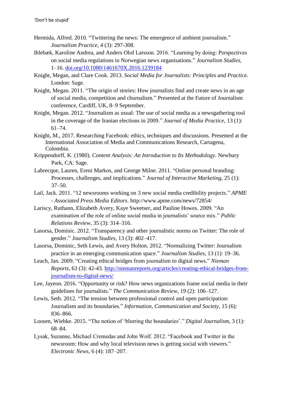- Hermida, Alfred. 2010. "Twittering the news: The emergence of ambient journalism." *Journalism Practice*, 4 (3): 297-308.
- Ihlebæk, Karoline Andrea, and Anders Olof Larsson. 2016. "Learning by doing: Perspectives on social media regulations in Norwegian news organisations." *Journalism Studies*, 1–16. [doi.org/10.1080/1461670X.2016.1239184](https://doi.org/10.1080/1461670X.2016.1239184)
- Knight, Megan, and Clare Cook. 2013. *Social Media for Journalists: Principles and Practice*. London: Sage.
- Knight, Megan. 2011. "The origin of stories: How journalists find and create news in an age of social media, competition and churnalism." Presented at the Future of Journalism conference, Cardiff, UK, 8–9 September.
- Knight, Megan. 2012. "Journalism as usual: The use of social media as a newsgathering tool in the coverage of the Iranian elections in 2009." *Journal of Media Practice*, 13 (1): 61–74.
- Knight, M., 2017. Researching Facebook: ethics, techniques and discussions. Presented at the International Association of Media and Communications Research, Cartagena, Colombia.
- Krippendorff, K. (1980). *Content Analysis: An Introduction to Its Methodology*. Newbury Park, CA: Sage.
- Labrecque, Lauren, Ereni Markos, and George Milne. 2011. "Online personal branding: Processes, challenges, and implications*.*" *Journal of Interactive Marketing*, 25 (1): 37–50.
- Lail, Jack. 2011. "12 newsrooms working on 3 new social media credibility projects." *APME - Associated Press Media Editors*. http://www.apme.com/news/72854/
- Lariscy, Ruthann, Elizabeth Avery, Kaye Sweetser, and Pauline Howes. 2009. "An examination of the role of online social media in journalists' source mix." *Public Relations Review*, 35 (3): 314–316.
- Lasorsa, Dominic. 2012. "Transparency and other journalistic norms on Twitter: The role of gender." *Journalism Studies*, 13 (3): 402–417.
- Lasorsa, Dominic, Seth Lewis, and Avery Holton. 2012. "Normalizing Twitter: Journalism practice in an emerging communication space." *Journalism Studies*, 13 (1): 19–36.
- Leach, Jan. 2009. "Creating ethical bridges from journalism to digital news." *Nieman Reports*, 63 (3): 42-43. [http://niemanreports.org/articles/creating-ethical-bridges-from](http://niemanreports.org/articles/creating-ethical-bridges-from-journalism-to-digital-news/)[journalism-to-digital-news/](http://niemanreports.org/articles/creating-ethical-bridges-from-journalism-to-digital-news/)
- Lee, Jayeon. 2016. "Opportunity or risk? How news organizations frame social media in their guidelines for journalists." *The Communication Review*, 19 (2): 106–127.
- Lewis, Seth. 2012. "The tension between professional control and open participation: Journalism and its boundaries." *Information, Communication and Society*, 15 (6): 836–866.
- Loosen, Wiebke. 2015. "The notion of 'blurring the boundaries'." *Digital Journalism*, 3 (1): 68–84.
- Lysak, Suzanne, Michael Cremedas and John Wolf. 2012. "Facebook and Twitter in the newsroom: How and why local television news is getting social with viewers." *Electronic News*, 6 (4): 187–207.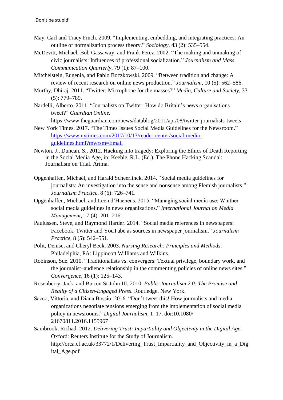- May, Carl and Tracy Finch. 2009. "Implementing, embedding, and integrating practices: An outline of normalization process theory." *Sociology*, 43 (2): 535–554.
- McDevitt, Michael, Bob Gassaway, and Frank Perez. 2002. "The making and unmaking of civic journalists: Influences of professional socialization." *Journalism and Mass Communication Quarterly*, 79 (1): 87–100.
- Mitchelstein, Eugenia, and Pablo Boczkowski. 2009. "Between tradition and change: A review of recent research on online news production." *Journalism*, 10 (5): 562–586.
- Murthy, Dhiraj. 2011. "Twitter: Microphone for the masses?" *Media, Culture and Society*, 33 (5): 779–789.
- Nardelli, Alberto. 2011. "Journalists on Twitter: How do Britain's news organisations tweet?" *Guardian Online*.

https://www.theguardian.com/news/datablog/2011/apr/08/twitter-journalists-tweets

- New York Times. 2017. "The Times Issues Social Media Guidelines for the Newsroom." [https://www.nytimes.com/2017/10/13/reader-center/social-media](https://www.nytimes.com/2017/10/13/reader-center/social-media-guidelines.html?mwrsm=Email)[guidelines.html?mwrsm=Email](https://www.nytimes.com/2017/10/13/reader-center/social-media-guidelines.html?mwrsm=Email)
- Newton, J., Duncan, S., 2012. Hacking into tragedy: Exploring the Ethics of Death Reporting in the Social Media Age, in: Keeble, R.L. (Ed.), The Phone Hacking Scandal: Journalism on Trial. Arima.
- Opgenhaffen, Michaël, and Harald Scheerlinck. 2014. "Social media guidelines for journalists: An investigation into the sense and nonsense among Flemish journalists." *Journalism Practice*, 8 (6): 726–741.
- Opgenhaffen, Michaël, and Leen d'Haenens. 2015. "Managing social media use: Whither social media guidelines in news organizations." *International Journal on Media Management*, 17 (4): 201–216.
- Paulussen, Steve, and Raymond Harder. 2014. "Social media references in newspapers: Facebook, Twitter and YouTube as sources in newspaper journalism." *Journalism Practice*, 8 (5): 542–551.
- Polit, Denise, and Cheryl Beck. 2003. *Nursing Research: Principles and Methods*. Philadelphia, PA: Lippincott Williams and Wilkins.
- Robinson, Sue. 2010. "Traditionalists vs. convergers: Textual privilege, boundary work, and the journalist–audience relationship in the commenting policies of online news sites." *Convergence*, 16 (1): 125–143.
- Rosenberry, Jack, and Burton St John III. 2010. *Public Journalism 2.0: The Promise and Reality of a Citizen-Engaged Press*. Routledge, New York.
- Sacco, Vittoria, and Diana Bossio. 2016. "Don't tweet this! How journalists and media organizations negotiate tensions emerging from the implementation of social media policy in newsrooms." *Digital Journalism*, 1–17. doi:10.1080/ 21670811.2016.1155967
- Sambrook, Richad. 2012. *Delivering Trust: Impartiality and Objectivity in the Digital Age*. Oxford: Reuters Institute for the Study of Journalism.

http://orca.cf.ac.uk/33772/1/Delivering\_Trust\_Impartiality\_and\_Objectivity\_in\_a\_Dig ital\_Age.pdf